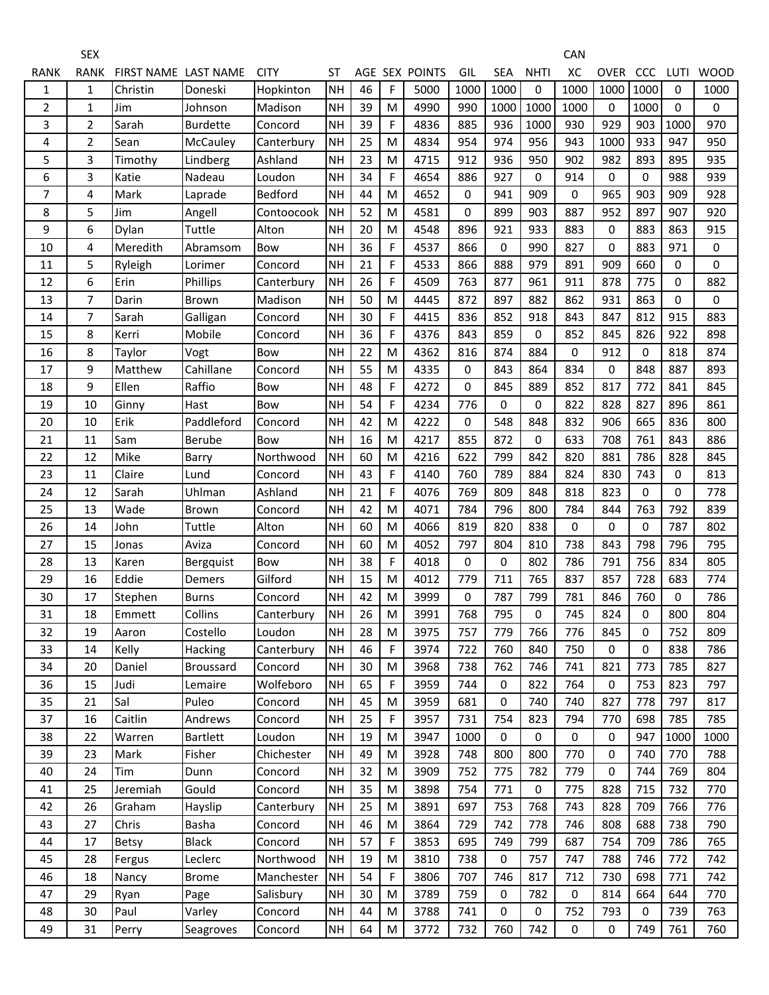| RANK | <b>RANK</b>    | FIRST NAME LAST NAME |                 | <b>CITY</b>    | <b>ST</b> |    |           | AGE SEX POINTS | GIL         | <b>SEA</b>  | <b>NHTI</b> | XC          | <b>OVER</b> | CCC         | LUTI        | <b>WOOD</b> |
|------|----------------|----------------------|-----------------|----------------|-----------|----|-----------|----------------|-------------|-------------|-------------|-------------|-------------|-------------|-------------|-------------|
| 1    | $\mathbf{1}$   | Christin             | Doneski         | Hopkinton      | NH        | 46 | F         | 5000           | 1000        | 1000        | $\mathbf 0$ | 1000        | 1000        | 1000        | $\Omega$    | 1000        |
| 2    | 1              | Jim                  | Johnson         | Madison        | <b>NH</b> | 39 | M         | 4990           | 990         | 1000        | 1000        | 1000        | $\Omega$    | 1000        | $\Omega$    | 0           |
| 3    | $\overline{2}$ | Sarah                | <b>Burdette</b> | Concord        | <b>NH</b> | 39 | F         | 4836           | 885         | 936         | 1000        | 930         | 929         | 903         | 1000        | 970         |
| 4    | $\overline{2}$ | Sean                 | McCauley        | Canterbury     | <b>NH</b> | 25 | M         | 4834           | 954         | 974         | 956         | 943         | 1000        | 933         | 947         | 950         |
| 5    | 3              | Timothy              | Lindberg        | Ashland        | <b>NH</b> | 23 | M         | 4715           | 912         | 936         | 950         | 902         | 982         | 893         | 895         | 935         |
| 6    | 3              | Katie                | Nadeau          | Loudon         | <b>NH</b> | 34 | F         | 4654           | 886         | 927         | 0           | 914         | 0           | 0           | 988         | 939         |
| 7    | 4              | Mark                 | Laprade         | <b>Bedford</b> | <b>NH</b> | 44 | M         | 4652           | $\mathbf 0$ | 941         | 909         | $\mathbf 0$ | 965         | 903         | 909         | 928         |
| 8    | 5              | Jim                  | Angell          | Contoocook     | <b>NH</b> | 52 | M         | 4581           | 0           | 899         | 903         | 887         | 952         | 897         | 907         | 920         |
| 9    | 6              | Dylan                | Tuttle          | Alton          | <b>NH</b> | 20 | M         | 4548           | 896         | 921         | 933         | 883         | 0           | 883         | 863         | 915         |
| 10   | 4              | Meredith             | Abramsom        | Bow            | <b>NH</b> | 36 | F         | 4537           | 866         | 0           | 990         | 827         | 0           | 883         | 971         | 0           |
| 11   | 5              | Ryleigh              | Lorimer         | Concord        | <b>NH</b> | 21 | F         | 4533           | 866         | 888         | 979         | 891         | 909         | 660         | $\mathbf 0$ | 0           |
| 12   | 6              | Erin                 | Phillips        | Canterbury     | <b>NH</b> | 26 | F         | 4509           | 763         | 877         | 961         | 911         | 878         | 775         | 0           | 882         |
| 13   | $\overline{7}$ | Darin                | Brown           | Madison        | <b>NH</b> | 50 | M         | 4445           | 872         | 897         | 882         | 862         | 931         | 863         | $\Omega$    | 0           |
| 14   | $\overline{7}$ | Sarah                | Galligan        | Concord        | <b>NH</b> | 30 | F         | 4415           | 836         | 852         | 918         | 843         | 847         | 812         | 915         | 883         |
| 15   | 8              | Kerri                | Mobile          | Concord        | <b>NH</b> | 36 | F         | 4376           | 843         | 859         | 0           | 852         | 845         | 826         | 922         | 898         |
| 16   | 8              | Taylor               | Vogt            | Bow            | <b>NH</b> | 22 | M         | 4362           | 816         | 874         | 884         | $\mathbf 0$ | 912         | $\mathbf 0$ | 818         | 874         |
| 17   | 9              | Matthew              | Cahillane       | Concord        | <b>NH</b> | 55 | M         | 4335           | 0           | 843         | 864         | 834         | 0           | 848         | 887         | 893         |
| 18   | 9              | Ellen                | Raffio          | Bow            | <b>NH</b> | 48 | F         | 4272           | 0           | 845         | 889         | 852         | 817         | 772         | 841         | 845         |
| 19   | 10             | Ginny                | Hast            | Bow            | <b>NH</b> | 54 | F         | 4234           | 776         | 0           | 0           | 822         | 828         | 827         | 896         | 861         |
| 20   | 10             | Erik                 | Paddleford      | Concord        | <b>NH</b> | 42 | M         | 4222           | $\mathbf 0$ | 548         | 848         | 832         | 906         | 665         | 836         | 800         |
| 21   | 11             | Sam                  | Berube          | Bow            | <b>NH</b> | 16 | M         | 4217           | 855         | 872         | 0           | 633         | 708         | 761         | 843         | 886         |
| 22   | 12             | Mike                 | Barry           | Northwood      | <b>NH</b> | 60 | M         | 4216           | 622         | 799         | 842         | 820         | 881         | 786         | 828         | 845         |
| 23   | 11             | Claire               | Lund            | Concord        | <b>NH</b> | 43 | F         | 4140           | 760         | 789         | 884         | 824         | 830         | 743         | 0           | 813         |
| 24   | 12             | Sarah                | Uhlman          | Ashland        | <b>NH</b> | 21 | F         | 4076           | 769         | 809         | 848         | 818         | 823         | 0           | $\mathbf 0$ | 778         |
| 25   | 13             | Wade                 | Brown           | Concord        | <b>NH</b> | 42 | M         | 4071           | 784         | 796         | 800         | 784         | 844         | 763         | 792         | 839         |
| 26   | 14             | John                 | Tuttle          | Alton          | <b>NH</b> | 60 | M         | 4066           | 819         | 820         | 838         | $\mathbf 0$ | $\Omega$    | 0           | 787         | 802         |
| 27   | 15             | Jonas                | Aviza           | Concord        | <b>NH</b> | 60 | M         | 4052           | 797         | 804         | 810         | 738         | 843         | 798         | 796         | 795         |
| 28   | 13             | Karen                | Bergquist       | <b>Bow</b>     | <b>NH</b> | 38 | F         | 4018           | 0           | 0           | 802         | 786         | 791         | 756         | 834         | 805         |
| 29   | 16             | Eddie                | Demers          | Gilford        | <b>NH</b> | 15 | M         | 4012           | 779         | 711         | 765         | 837         | 857         | 728         | 683         | 774         |
| 30   | 17             | Stephen              | <b>Burns</b>    | Concord        | <b>NH</b> | 42 | M         | 3999           | 0           | 787         | 799         | 781         | 846         | 760         | $\Omega$    | 786         |
| 31   | 18             | Emmett               | Collins         | Canterbury     | <b>NH</b> | 26 | M         | 3991           | 768         | 795         | 0           | 745         | 824         | 0           | 800         | 804         |
| 32   | 19             | Aaron                | Costello        | Loudon         | <b>NH</b> | 28 | ${\sf M}$ | 3975           | 757         | 779         | 766         | 776         | 845         | 0           | 752         | 809         |
| 33   | 14             | Kelly                | <b>Hacking</b>  | Canterbury     | <b>NH</b> | 46 | F         | 3974           | 722         | 760         | 840         | 750         | 0           | 0           | 838         | 786         |
| 34   | 20             | Daniel               | Broussard       | Concord        | <b>NH</b> | 30 | M         | 3968           | 738         | 762         | 746         | 741         | 821         | 773         | 785         | 827         |
| 36   | 15             | Judi                 | Lemaire         | Wolfeboro      | NH        | 65 | F         | 3959           | 744         | 0           | 822         | 764         | $\mathbf 0$ | 753         | 823         | 797         |
| 35   | 21             | Sal                  | Puleo           | Concord        | <b>NH</b> | 45 | M         | 3959           | 681         | 0           | 740         | 740         | 827         | 778         | 797         | 817         |
| 37   | 16             | Caitlin              | Andrews         | Concord        | <b>NH</b> | 25 | F         | 3957           | 731         | 754         | 823         | 794         | 770         | 698         | 785         | 785         |
| 38   | 22             | Warren               | <b>Bartlett</b> | Loudon         | <b>NH</b> | 19 | M         | 3947           | 1000        | 0           | $\mathbf 0$ | $\mathbf 0$ | 0           | 947         | 1000        | 1000        |
| 39   | 23             | Mark                 | Fisher          | Chichester     | <b>NH</b> | 49 | M         | 3928           | 748         | 800         | 800         | 770         | 0           | 740         | 770         | 788         |
| 40   | 24             | Tim                  | Dunn            | Concord        | <b>NH</b> | 32 | M         | 3909           | 752         | 775         | 782         | 779         | 0           | 744         | 769         | 804         |
| 41   | 25             | Jeremiah             | Gould           | Concord        | <b>NH</b> | 35 | M         | 3898           | 754         | 771         | $\mathbf 0$ | 775         | 828         | 715         | 732         | 770         |
| 42   | 26             | Graham               | Hayslip         | Canterbury     | <b>NH</b> | 25 | M         | 3891           | 697         | 753         | 768         | 743         | 828         | 709         | 766         | 776         |
| 43   | 27             | Chris                | Basha           | Concord        | NH        | 46 | M         | 3864           | 729         | 742         | 778         | 746         | 808         | 688         | 738         | 790         |
| 44   | 17             | <b>Betsy</b>         | <b>Black</b>    | Concord        | <b>NH</b> | 57 | F         | 3853           | 695         | 749         | 799         | 687         | 754         | 709         | 786         | 765         |
| 45   | 28             | Fergus               | Leclerc         | Northwood      | <b>NH</b> | 19 | M         | 3810           | 738         | 0           | 757         | 747         | 788         | 746         | 772         | 742         |
| 46   | 18             | Nancy                | <b>Brome</b>    | Manchester     | <b>NH</b> | 54 | F         | 3806           | 707         | 746         | 817         | 712         | 730         | 698         | 771         | 742         |
| 47   | 29             | Ryan                 | Page            | Salisbury      | NH        | 30 | M         | 3789           | 759         | 0           | 782         | 0           | 814         | 664         | 644         | 770         |
| 48   | 30             | Paul                 | Varley          | Concord        | <b>NH</b> | 44 | M         | 3788           | 741         | $\mathbf 0$ | $\mathbf 0$ | 752         | 793         | $\pmb{0}$   | 739         | 763         |
| 49   | 31             | Perry                | Seagroves       | Concord        | <b>NH</b> | 64 | M         | 3772           | 732         | 760         | 742         | $\pmb{0}$   | $\pmb{0}$   | 749         | 761         | 760         |

CAN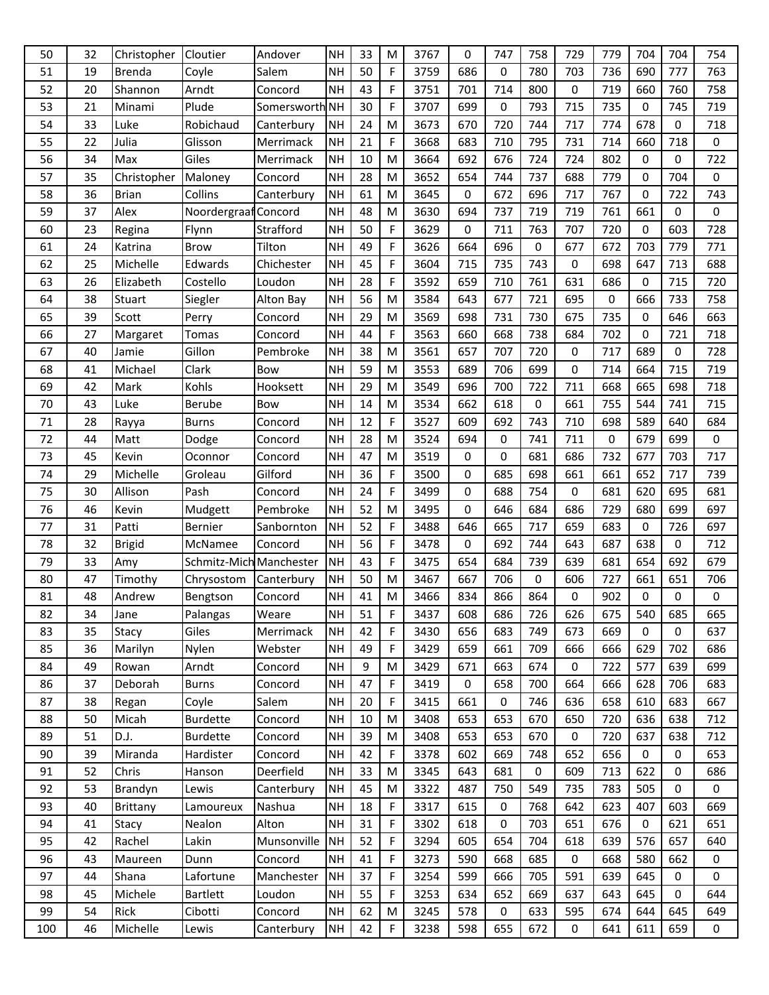| 50  | 32 | Christopher     | Cloutier                | Andover        | <b>NH</b> | 33 | M           | 3767 | 0   | 747 | 758 | 729         | 779         | 704         | 704      | 754 |
|-----|----|-----------------|-------------------------|----------------|-----------|----|-------------|------|-----|-----|-----|-------------|-------------|-------------|----------|-----|
| 51  | 19 | <b>Brenda</b>   | Coyle                   | Salem          | <b>NH</b> | 50 | F           | 3759 | 686 | 0   | 780 | 703         | 736         | 690         | 777      | 763 |
| 52  | 20 | Shannon         | Arndt                   | Concord        | <b>NH</b> | 43 | F           | 3751 | 701 | 714 | 800 | 0           | 719         | 660         | 760      | 758 |
| 53  | 21 | Minami          | Plude                   | Somersworth NH |           | 30 | F           | 3707 | 699 | 0   | 793 | 715         | 735         | $\mathbf 0$ | 745      | 719 |
| 54  | 33 | Luke            | Robichaud               | Canterbury     | <b>NH</b> | 24 | M           | 3673 | 670 | 720 | 744 | 717         | 774         | 678         | 0        | 718 |
| 55  | 22 | Julia           | Glisson                 | Merrimack      | <b>NH</b> | 21 | $\mathsf F$ | 3668 | 683 | 710 | 795 | 731         | 714         | 660         | 718      | 0   |
| 56  | 34 | Max             | Giles                   | Merrimack      | <b>NH</b> | 10 | M           | 3664 | 692 | 676 | 724 | 724         | 802         | 0           | 0        | 722 |
| 57  | 35 | Christopher     | Maloney                 | Concord        | <b>NH</b> | 28 | M           | 3652 | 654 | 744 | 737 | 688         | 779         | 0           | 704      | 0   |
| 58  | 36 | <b>Brian</b>    | Collins                 | Canterbury     | <b>NH</b> | 61 | M           | 3645 | 0   | 672 | 696 | 717         | 767         | $\Omega$    | 722      | 743 |
| 59  | 37 | Alex            | Noordergraaf Concord    |                | <b>NH</b> | 48 | M           | 3630 | 694 | 737 | 719 | 719         | 761         | 661         | 0        | 0   |
| 60  | 23 | Regina          | Flynn                   | Strafford      | <b>NH</b> | 50 | F           | 3629 | 0   | 711 | 763 | 707         | 720         | 0           | 603      | 728 |
| 61  | 24 | Katrina         | <b>Brow</b>             | Tilton         | <b>NH</b> | 49 | $\mathsf F$ | 3626 | 664 | 696 | 0   | 677         | 672         | 703         | 779      | 771 |
| 62  | 25 | Michelle        | Edwards                 | Chichester     | <b>NH</b> | 45 | F           | 3604 | 715 | 735 | 743 | $\mathbf 0$ | 698         | 647         | 713      | 688 |
| 63  | 26 | Elizabeth       | Costello                | Loudon         | <b>NH</b> | 28 | F           | 3592 | 659 | 710 | 761 | 631         | 686         | 0           | 715      | 720 |
| 64  | 38 | Stuart          | Siegler                 | Alton Bay      | <b>NH</b> | 56 | M           | 3584 | 643 | 677 | 721 | 695         | 0           | 666         | 733      | 758 |
| 65  | 39 | Scott           | Perry                   | Concord        | <b>NH</b> | 29 | M           | 3569 | 698 | 731 | 730 | 675         | 735         | $\mathbf 0$ | 646      | 663 |
| 66  | 27 | Margaret        | Tomas                   | Concord        | <b>NH</b> | 44 | F           | 3563 | 660 | 668 | 738 | 684         | 702         | 0           | 721      | 718 |
| 67  | 40 | Jamie           | Gillon                  | Pembroke       | <b>NH</b> | 38 | M           | 3561 | 657 | 707 | 720 | 0           | 717         | 689         | 0        | 728 |
| 68  | 41 | Michael         | Clark                   | Bow            | <b>NH</b> | 59 | M           | 3553 | 689 | 706 | 699 | 0           | 714         | 664         | 715      | 719 |
| 69  | 42 | Mark            | Kohls                   | Hooksett       | <b>NH</b> | 29 | M           | 3549 | 696 | 700 | 722 | 711         | 668         | 665         | 698      | 718 |
| 70  | 43 | Luke            | Berube                  | Bow            | <b>NH</b> | 14 | M           | 3534 | 662 | 618 | 0   | 661         | 755         | 544         | 741      | 715 |
| 71  | 28 | Rayya           | <b>Burns</b>            | Concord        | <b>NH</b> | 12 | F           | 3527 | 609 | 692 | 743 | 710         | 698         | 589         | 640      | 684 |
| 72  | 44 | Matt            | Dodge                   | Concord        | <b>NH</b> | 28 | M           | 3524 | 694 | 0   | 741 | 711         | $\mathbf 0$ | 679         | 699      | 0   |
| 73  | 45 | Kevin           | Oconnor                 | Concord        | <b>NH</b> | 47 | M           | 3519 | 0   | 0   | 681 | 686         | 732         | 677         | 703      | 717 |
| 74  | 29 | Michelle        | Groleau                 | Gilford        | <b>NH</b> | 36 | $\mathsf F$ | 3500 | 0   | 685 | 698 | 661         | 661         | 652         | 717      | 739 |
| 75  | 30 | Allison         | Pash                    | Concord        | <b>NH</b> | 24 | F           | 3499 | 0   | 688 | 754 | 0           | 681         | 620         | 695      | 681 |
| 76  | 46 | Kevin           | Mudgett                 | Pembroke       | <b>NH</b> | 52 | M           | 3495 | 0   | 646 | 684 | 686         | 729         | 680         | 699      | 697 |
| 77  | 31 | Patti           | Bernier                 | Sanbornton     | <b>NH</b> | 52 | F           | 3488 | 646 | 665 | 717 | 659         | 683         | $\mathbf 0$ | 726      | 697 |
| 78  | 32 | <b>Brigid</b>   | McNamee                 | Concord        | <b>NH</b> | 56 | F           | 3478 | 0   | 692 | 744 | 643         | 687         | 638         | 0        | 712 |
| 79  | 33 | Amy             | Schmitz-Mich Manchester |                | <b>NH</b> | 43 | F           | 3475 | 654 | 684 | 739 | 639         | 681         | 654         | 692      | 679 |
| 80  | 47 | Timothy         | Chrysostom              | Canterbury     | <b>NH</b> | 50 | M           | 3467 | 667 | 706 | 0   | 606         | 727         | 661         | 651      | 706 |
| 81  | 48 | Andrew          | Bengtson                | Concord        | <b>NH</b> | 41 | M           | 3466 | 834 | 866 | 864 | 0           | 902         | 0           | 0        | 0   |
| 82  | 34 | Jane            | Palangas                | Weare          | <b>NH</b> | 51 | F           | 3437 | 608 | 686 | 726 | 626         | 675         | 540         | 685      | 665 |
| 83  | 35 | Stacy           | Giles                   | Merrimack      | <b>NH</b> | 42 | F           | 3430 | 656 | 683 | 749 | 673         | 669         | $\Omega$    | $\Omega$ | 637 |
| 85  | 36 | Marilyn         | Nylen                   | Webster        | <b>NH</b> | 49 | F           | 3429 | 659 | 661 | 709 | 666         | 666         | 629         | 702      | 686 |
| 84  | 49 | Rowan           | Arndt                   | Concord        | <b>NH</b> | 9  | M           | 3429 | 671 | 663 | 674 | 0           | 722         | 577         | 639      | 699 |
| 86  | 37 | Deborah         | <b>Burns</b>            | Concord        | <b>NH</b> | 47 | $\mathsf F$ | 3419 | 0   | 658 | 700 | 664         | 666         | 628         | 706      | 683 |
| 87  | 38 | Regan           | Coyle                   | Salem          | <b>NH</b> | 20 | F           | 3415 | 661 | 0   | 746 | 636         | 658         | 610         | 683      | 667 |
| 88  | 50 | Micah           | <b>Burdette</b>         | Concord        | <b>NH</b> | 10 | M           | 3408 | 653 | 653 | 670 | 650         | 720         | 636         | 638      | 712 |
| 89  | 51 | D.J.            | <b>Burdette</b>         | Concord        | <b>NH</b> | 39 | M           | 3408 | 653 | 653 | 670 | $\mathbf 0$ | 720         | 637         | 638      | 712 |
| 90  | 39 | Miranda         | Hardister               | Concord        | <b>NH</b> | 42 | $\mathsf F$ | 3378 | 602 | 669 | 748 | 652         | 656         | $\mathbf 0$ | 0        | 653 |
| 91  | 52 | Chris           | Hanson                  | Deerfield      | <b>NH</b> | 33 | M           | 3345 | 643 | 681 | 0   | 609         | 713         | 622         | 0        | 686 |
| 92  | 53 | Brandyn         | Lewis                   | Canterbury     | <b>NH</b> | 45 | M           | 3322 | 487 | 750 | 549 | 735         | 783         | 505         | 0        | 0   |
| 93  | 40 | <b>Brittany</b> | Lamoureux               | Nashua         | <b>NH</b> | 18 | F           | 3317 | 615 | 0   | 768 | 642         | 623         | 407         | 603      | 669 |
| 94  | 41 | Stacy           | Nealon                  | Alton          | <b>NH</b> | 31 | F           | 3302 | 618 | 0   | 703 | 651         | 676         | 0           | 621      | 651 |
| 95  | 42 | Rachel          | Lakin                   | Munsonville    | <b>NH</b> | 52 | $\mathsf F$ | 3294 | 605 | 654 | 704 | 618         | 639         | 576         | 657      | 640 |
| 96  | 43 | Maureen         | Dunn                    | Concord        | <b>NH</b> | 41 | F           | 3273 | 590 | 668 | 685 | $\mathbf 0$ | 668         | 580         | 662      | 0   |
| 97  | 44 | Shana           | Lafortune               | Manchester     | <b>NH</b> | 37 | F           | 3254 | 599 | 666 | 705 | 591         | 639         | 645         | 0        | 0   |
| 98  | 45 | Michele         | <b>Bartlett</b>         | Loudon         | <b>NH</b> | 55 | F           | 3253 | 634 | 652 | 669 | 637         | 643         | 645         | 0        | 644 |
| 99  | 54 | Rick            | Cibotti                 | Concord        | <b>NH</b> | 62 | M           | 3245 | 578 | 0   | 633 | 595         | 674         | 644         | 645      | 649 |
| 100 | 46 | Michelle        | Lewis                   | Canterbury     | <b>NH</b> | 42 | F           | 3238 | 598 | 655 | 672 | 0           | 641         | 611         | 659      | 0   |
|     |    |                 |                         |                |           |    |             |      |     |     |     |             |             |             |          |     |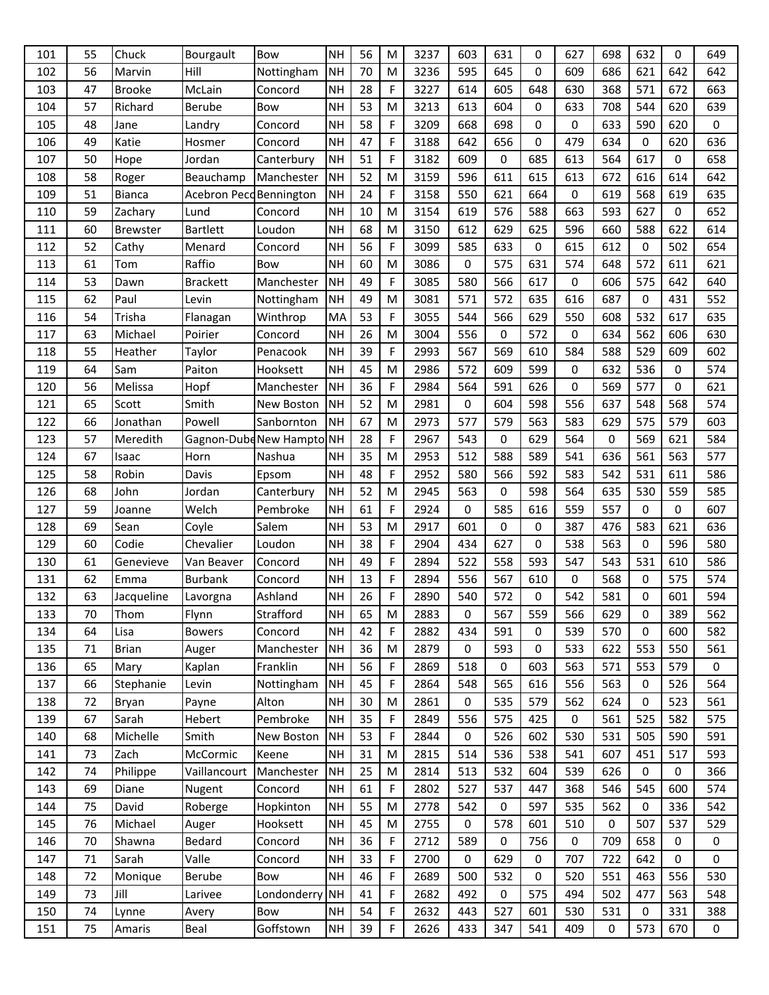| 101 | 55 | Chuck           | Bourgault               | Bow                       | <b>NH</b> | 56 | M           | 3237 | 603         | 631         | 0   | 627         | 698 | 632 | 0           | 649         |
|-----|----|-----------------|-------------------------|---------------------------|-----------|----|-------------|------|-------------|-------------|-----|-------------|-----|-----|-------------|-------------|
| 102 | 56 | Marvin          | Hill                    | Nottingham                | <b>NH</b> | 70 | M           | 3236 | 595         | 645         | 0   | 609         | 686 | 621 | 642         | 642         |
| 103 | 47 | <b>Brooke</b>   | McLain                  | Concord                   | <b>NH</b> | 28 | F           | 3227 | 614         | 605         | 648 | 630         | 368 | 571 | 672         | 663         |
| 104 | 57 | Richard         | <b>Berube</b>           | Bow                       | <b>NH</b> | 53 | M           | 3213 | 613         | 604         | 0   | 633         | 708 | 544 | 620         | 639         |
| 105 | 48 | Jane            | Landry                  | Concord                   | <b>NH</b> | 58 | F           | 3209 | 668         | 698         | 0   | $\mathbf 0$ | 633 | 590 | 620         | $\pmb{0}$   |
| 106 | 49 | Katie           | Hosmer                  | Concord                   | <b>NH</b> | 47 | F           | 3188 | 642         | 656         | 0   | 479         | 634 | 0   | 620         | 636         |
| 107 | 50 | Hope            | Jordan                  | Canterbury                | <b>NH</b> | 51 | F           | 3182 | 609         | 0           | 685 | 613         | 564 | 617 | 0           | 658         |
| 108 | 58 | Roger           | Beauchamp               | Manchester                | <b>NH</b> | 52 | M           | 3159 | 596         | 611         | 615 | 613         | 672 | 616 | 614         | 642         |
| 109 | 51 | Bianca          | Acebron Pecd Bennington |                           | <b>NH</b> | 24 | F           | 3158 | 550         | 621         | 664 | 0           | 619 | 568 | 619         | 635         |
| 110 | 59 | Zachary         | Lund                    | Concord                   | <b>NH</b> | 10 | M           | 3154 | 619         | 576         | 588 | 663         | 593 | 627 | $\mathbf 0$ | 652         |
| 111 | 60 | <b>Brewster</b> | <b>Bartlett</b>         | Loudon                    | <b>NH</b> | 68 | M           | 3150 | 612         | 629         | 625 | 596         | 660 | 588 | 622         | 614         |
| 112 | 52 | Cathy           | Menard                  | Concord                   | <b>NH</b> | 56 | F           | 3099 | 585         | 633         | 0   | 615         | 612 | 0   | 502         | 654         |
| 113 | 61 | Tom             | Raffio                  | Bow                       | <b>NH</b> | 60 | M           | 3086 | 0           | 575         | 631 | 574         | 648 | 572 | 611         | 621         |
| 114 | 53 | Dawn            | <b>Brackett</b>         | Manchester                | <b>NH</b> | 49 | F           | 3085 | 580         | 566         | 617 | 0           | 606 | 575 | 642         | 640         |
| 115 | 62 | Paul            | Levin                   | Nottingham                | <b>NH</b> | 49 | M           | 3081 | 571         | 572         | 635 | 616         | 687 | 0   | 431         | 552         |
| 116 | 54 | Trisha          | Flanagan                | Winthrop                  | MA        | 53 | F           | 3055 | 544         | 566         | 629 | 550         | 608 | 532 | 617         | 635         |
| 117 | 63 | Michael         | Poirier                 | Concord                   | <b>NH</b> | 26 | M           | 3004 | 556         | 0           | 572 | 0           | 634 | 562 | 606         | 630         |
| 118 | 55 | Heather         | Taylor                  | Penacook                  | <b>NH</b> | 39 | $\mathsf F$ | 2993 | 567         | 569         | 610 | 584         | 588 | 529 | 609         | 602         |
| 119 | 64 | Sam             | Paiton                  | Hooksett                  | <b>NH</b> | 45 | M           | 2986 | 572         | 609         | 599 | 0           | 632 | 536 | 0           | 574         |
| 120 | 56 | Melissa         | Hopf                    | Manchester                | <b>NH</b> | 36 | F           | 2984 | 564         | 591         | 626 | 0           | 569 | 577 | $\mathbf 0$ | 621         |
| 121 | 65 | Scott           | Smith                   | New Boston                | <b>NH</b> | 52 | M           | 2981 | 0           | 604         | 598 | 556         | 637 | 548 | 568         | 574         |
| 122 | 66 | Jonathan        | Powell                  | Sanbornton                | <b>NH</b> | 67 | M           | 2973 | 577         | 579         | 563 | 583         | 629 | 575 | 579         | 603         |
| 123 | 57 | Meredith        |                         | Gagnon-Dubd New Hampto NH |           | 28 | F           | 2967 | 543         | 0           | 629 | 564         | 0   | 569 | 621         | 584         |
| 124 | 67 | Isaac           | Horn                    | Nashua                    | <b>NH</b> | 35 | M           | 2953 | 512         | 588         | 589 | 541         | 636 | 561 | 563         | 577         |
| 125 | 58 | Robin           | Davis                   | Epsom                     | <b>NH</b> | 48 | F           | 2952 | 580         | 566         | 592 | 583         | 542 | 531 | 611         | 586         |
| 126 | 68 | John            | Jordan                  | Canterbury                | <b>NH</b> | 52 | M           | 2945 | 563         | 0           | 598 | 564         | 635 | 530 | 559         | 585         |
| 127 | 59 | Joanne          | Welch                   | Pembroke                  | <b>NH</b> | 61 | $\mathsf F$ | 2924 | $\pmb{0}$   | 585         | 616 | 559         | 557 | 0   | 0           | 607         |
| 128 | 69 | Sean            | Coyle                   | Salem                     | <b>NH</b> | 53 | M           | 2917 | 601         | 0           | 0   | 387         | 476 | 583 | 621         | 636         |
| 129 | 60 | Codie           | Chevalier               | Loudon                    | <b>NH</b> | 38 | F           | 2904 | 434         | 627         | 0   | 538         | 563 | 0   | 596         | 580         |
| 130 | 61 | Genevieve       | Van Beaver              | Concord                   | <b>NH</b> | 49 | F           | 2894 | 522         | 558         | 593 | 547         | 543 | 531 | 610         | 586         |
| 131 | 62 | Emma            | <b>Burbank</b>          | Concord                   | <b>NH</b> | 13 | F           | 2894 | 556         | 567         | 610 | 0           | 568 | 0   | 575         | 574         |
| 132 | 63 | Jacqueline      | Lavorgna                | Ashland                   | <b>NH</b> | 26 | F           | 2890 | 540         | 572         | 0   | 542         | 581 | 0   | 601         | 594         |
| 133 | 70 | Thom            | Flynn                   | Strafford                 | NH        | 65 | M           | 2883 | 0           | 567         | 559 | 566         | 629 | 0   | 389         | 562         |
| 134 | 64 | Lisa            | <b>Bowers</b>           | Concord                   | <b>NH</b> | 42 | F           | 2882 | 434         | 591         | 0   | 539         | 570 | 0   | 600         | 582         |
| 135 | 71 | <b>Brian</b>    | Auger                   | Manchester                | NH        | 36 | M           | 2879 | 0           | 593         | 0   | 533         | 622 | 553 | 550         | 561         |
| 136 | 65 | Mary            | Kaplan                  | Franklin                  | <b>NH</b> | 56 | F           | 2869 | 518         | $\pmb{0}$   | 603 | 563         | 571 | 553 | 579         | $\pmb{0}$   |
| 137 | 66 | Stephanie       | Levin                   | Nottingham                | <b>NH</b> | 45 | F           | 2864 | 548         | 565         | 616 | 556         | 563 | 0   | 526         | 564         |
| 138 | 72 | Bryan           | Payne                   | Alton                     | <b>NH</b> | 30 | M           | 2861 | 0           | 535         | 579 | 562         | 624 | 0   | 523         | 561         |
| 139 | 67 | Sarah           | Hebert                  | Pembroke                  | <b>NH</b> | 35 | F           | 2849 | 556         | 575         | 425 | 0           | 561 | 525 | 582         | 575         |
| 140 | 68 | Michelle        | Smith                   | New Boston                | NH        | 53 | F           | 2844 | $\mathbf 0$ | 526         | 602 | 530         | 531 | 505 | 590         | 591         |
| 141 | 73 | Zach            | McCormic                | Keene                     | <b>NH</b> | 31 | M           | 2815 | 514         | 536         | 538 | 541         | 607 | 451 | 517         | 593         |
| 142 | 74 | Philippe        | Vaillancourt            | Manchester                | NH        | 25 | M           | 2814 | 513         | 532         | 604 | 539         | 626 | 0   | 0           | 366         |
| 143 | 69 | Diane           | Nugent                  | Concord                   | <b>NH</b> | 61 | F           | 2802 | 527         | 537         | 447 | 368         | 546 | 545 | 600         | 574         |
| 144 | 75 | David           | Roberge                 | Hopkinton                 | <b>NH</b> | 55 | M           | 2778 | 542         | 0           | 597 | 535         | 562 | 0   | 336         | 542         |
| 145 | 76 | Michael         | Auger                   | Hooksett                  | <b>NH</b> | 45 | M           | 2755 | 0           | 578         | 601 | 510         | 0   | 507 | 537         | 529         |
| 146 | 70 | Shawna          | Bedard                  | Concord                   | <b>NH</b> | 36 | F           | 2712 | 589         | $\mathbf 0$ | 756 | 0           | 709 | 658 | 0           | $\mathbf 0$ |
| 147 | 71 | Sarah           | Valle                   | Concord                   | <b>NH</b> | 33 | F           | 2700 | 0           | 629         | 0   | 707         | 722 | 642 | $\mathbf 0$ | $\mathbf 0$ |
| 148 | 72 | Monique         | Berube                  | Bow                       | <b>NH</b> | 46 | F           | 2689 | 500         | 532         | 0   | 520         | 551 | 463 | 556         | 530         |
| 149 | 73 | Jill            | Larivee                 | Londonderry               | NH        | 41 | F           | 2682 | 492         | 0           | 575 | 494         | 502 | 477 | 563         | 548         |
| 150 | 74 | Lynne           | Avery                   | Bow                       | <b>NH</b> | 54 | F           | 2632 | 443         | 527         | 601 | 530         | 531 | 0   | 331         | 388         |
| 151 | 75 | Amaris          | Beal                    | Goffstown                 | <b>NH</b> | 39 | F           | 2626 | 433         | 347         | 541 | 409         | 0   | 573 | 670         | 0           |
|     |    |                 |                         |                           |           |    |             |      |             |             |     |             |     |     |             |             |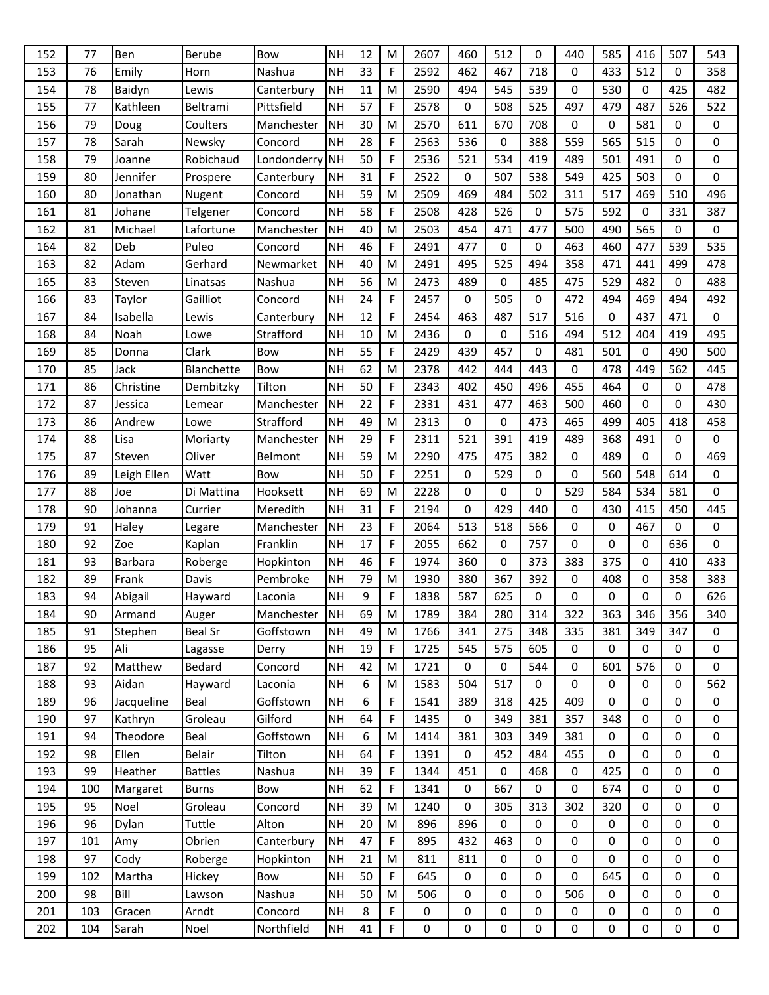| 152 | 77  | Ben         | Berube         | Bow         | <b>NH</b> | 12     | M           | 2607 | 460 | 512 | 0           | 440       | 585         | 416         | 507         | 543      |
|-----|-----|-------------|----------------|-------------|-----------|--------|-------------|------|-----|-----|-------------|-----------|-------------|-------------|-------------|----------|
| 153 | 76  | Emily       | Horn           | Nashua      | <b>NH</b> | 33     | $\mathsf F$ | 2592 | 462 | 467 | 718         | 0         | 433         | 512         | 0           | 358      |
| 154 | 78  | Baidyn      | Lewis          | Canterbury  | <b>NH</b> | $11\,$ | M           | 2590 | 494 | 545 | 539         | 0         | 530         | 0           | 425         | 482      |
| 155 | 77  | Kathleen    | Beltrami       | Pittsfield  | <b>NH</b> | 57     | F           | 2578 | 0   | 508 | 525         | 497       | 479         | 487         | 526         | 522      |
| 156 | 79  | Doug        | Coulters       | Manchester  | <b>NH</b> | 30     | M           | 2570 | 611 | 670 | 708         | 0         | 0           | 581         | 0           | 0        |
| 157 | 78  | Sarah       | Newsky         | Concord     | <b>NH</b> | 28     | F           | 2563 | 536 | 0   | 388         | 559       | 565         | 515         | 0           | 0        |
| 158 | 79  | Joanne      | Robichaud      | Londonderry | <b>NH</b> | 50     | F           | 2536 | 521 | 534 | 419         | 489       | 501         | 491         | 0           | 0        |
| 159 | 80  | Jennifer    | Prospere       | Canterbury  | <b>NH</b> | 31     | F           | 2522 | 0   | 507 | 538         | 549       | 425         | 503         | 0           | 0        |
| 160 | 80  | Jonathan    | Nugent         | Concord     | <b>NH</b> | 59     | M           | 2509 | 469 | 484 | 502         | 311       | 517         | 469         | 510         | 496      |
| 161 | 81  | Johane      | Telgener       | Concord     | <b>NH</b> | 58     | $\mathsf F$ | 2508 | 428 | 526 | $\mathbf 0$ | 575       | 592         | 0           | 331         | 387      |
| 162 | 81  | Michael     | Lafortune      | Manchester  | <b>NH</b> | 40     | M           | 2503 | 454 | 471 | 477         | 500       | 490         | 565         | 0           | 0        |
| 164 | 82  | Deb         | Puleo          | Concord     | <b>NH</b> | 46     | F           | 2491 | 477 | 0   | $\mathbf 0$ | 463       | 460         | 477         | 539         | 535      |
| 163 | 82  | Adam        | Gerhard        | Newmarket   | <b>NH</b> | 40     | M           | 2491 | 495 | 525 | 494         | 358       | 471         | 441         | 499         | 478      |
| 165 | 83  | Steven      | Linatsas       | Nashua      | <b>NH</b> | 56     | M           | 2473 | 489 | 0   | 485         | 475       | 529         | 482         | 0           | 488      |
| 166 | 83  | Taylor      | Gailliot       | Concord     | <b>NH</b> | 24     | F           | 2457 | 0   | 505 | $\mathbf 0$ | 472       | 494         | 469         | 494         | 492      |
| 167 | 84  | Isabella    | Lewis          | Canterbury  | <b>NH</b> | 12     | F           | 2454 | 463 | 487 | 517         | 516       | 0           | 437         | 471         | 0        |
| 168 | 84  | Noah        | Lowe           | Strafford   | <b>NH</b> | 10     | M           | 2436 | 0   | 0   | 516         | 494       | 512         | 404         | 419         | 495      |
| 169 | 85  | Donna       | Clark          | Bow         | <b>NH</b> | 55     | $\mathsf F$ | 2429 | 439 | 457 | $\mathbf 0$ | 481       | 501         | 0           | 490         | 500      |
| 170 | 85  | Jack        | Blanchette     | Bow         | <b>NH</b> | 62     | M           | 2378 | 442 | 444 | 443         | 0         | 478         | 449         | 562         | 445      |
| 171 | 86  | Christine   | Dembitzky      | Tilton      | <b>NH</b> | 50     | F           | 2343 | 402 | 450 | 496         | 455       | 464         | 0           | 0           | 478      |
| 172 | 87  | Jessica     | Lemear         | Manchester  | <b>NH</b> | 22     | $\mathsf F$ | 2331 | 431 | 477 | 463         | 500       | 460         | $\Omega$    | 0           | 430      |
| 173 | 86  | Andrew      | Lowe           | Strafford   | <b>NH</b> | 49     | M           | 2313 | 0   | 0   | 473         | 465       | 499         | 405         | 418         | 458      |
| 174 | 88  | Lisa        | Moriarty       | Manchester  | <b>NH</b> | 29     | $\mathsf F$ | 2311 | 521 | 391 | 419         | 489       | 368         | 491         | 0           | 0        |
| 175 | 87  | Steven      | Oliver         | Belmont     | <b>NH</b> | 59     | M           | 2290 | 475 | 475 | 382         | $\pmb{0}$ | 489         | 0           | 0           | 469      |
| 176 | 89  | Leigh Ellen | Watt           | Bow         | <b>NH</b> | 50     | F           | 2251 | 0   | 529 | 0           | 0         | 560         | 548         | 614         | 0        |
| 177 | 88  | Joe         | Di Mattina     | Hooksett    | <b>NH</b> | 69     | M           | 2228 | 0   | 0   | 0           | 529       | 584         | 534         | 581         | 0        |
| 178 | 90  | Johanna     | Currier        | Meredith    | <b>NH</b> | 31     | $\mathsf F$ | 2194 | 0   | 429 | 440         | 0         | 430         | 415         | 450         | 445      |
| 179 | 91  | Haley       | Legare         | Manchester  | <b>NH</b> | 23     | F           | 2064 | 513 | 518 | 566         | 0         | 0           | 467         | 0           | 0        |
| 180 | 92  | Zoe         | Kaplan         | Franklin    | <b>NH</b> | 17     | F           | 2055 | 662 | 0   | 757         | 0         | 0           | 0           | 636         | 0        |
| 181 | 93  | Barbara     | Roberge        | Hopkinton   | <b>NH</b> | 46     | F           | 1974 | 360 | 0   | 373         | 383       | 375         | 0           | 410         | 433      |
| 182 | 89  | Frank       | Davis          | Pembroke    | <b>NH</b> | 79     | M           | 1930 | 380 | 367 | 392         | 0         | 408         | 0           | 358         | 383      |
| 183 | 94  | Abigail     | Hayward        | Laconia     | <b>NH</b> | 9      | F           | 1838 | 587 | 625 | 0           | 0         | 0           | 0           | 0           | 626      |
| 184 | 90  | Armand      | Auger          | Manchester  | NH        | 69     | M           | 1789 | 384 | 280 | 314         | 322       | 363         | 346         | 356         | 340      |
| 185 | 91  | Stephen     | <b>Beal Sr</b> | Goffstown   | <b>NH</b> | 49     | M           | 1766 | 341 | 275 | 348         | 335       | 381         | 349         | 347         | $\Omega$ |
| 186 | 95  | Ali         | Lagasse        | Derry       | <b>NH</b> | 19     | $\mathsf F$ | 1725 | 545 | 575 | 605         | $\pmb{0}$ | $\pmb{0}$   | 0           | 0           | 0        |
| 187 | 92  | Matthew     | Bedard         | Concord     | <b>NH</b> | 42     | M           | 1721 | 0   | 0   | 544         | 0         | 601         | 576         | 0           | 0        |
| 188 | 93  | Aidan       | Hayward        | Laconia     | <b>NH</b> | 6      | M           | 1583 | 504 | 517 | $\mathbf 0$ | 0         | 0           | 0           | 0           | 562      |
| 189 | 96  | Jacqueline  | Beal           | Goffstown   | <b>NH</b> | 6      | $\mathsf F$ | 1541 | 389 | 318 | 425         | 409       | 0           | $\mathbf 0$ | 0           | 0        |
| 190 | 97  | Kathryn     | Groleau        | Gilford     | <b>NH</b> | 64     | F           | 1435 | 0   | 349 | 381         | 357       | 348         | 0           | 0           | 0        |
| 191 | 94  | Theodore    | Beal           | Goffstown   | <b>NH</b> | 6      | M           | 1414 | 381 | 303 | 349         | 381       | $\mathbf 0$ | $\mathbf 0$ | 0           | 0        |
| 192 | 98  | Ellen       | Belair         | Tilton      | <b>NH</b> | 64     | $\mathsf F$ | 1391 | 0   | 452 | 484         | 455       | 0           | $\mathbf 0$ | 0           | 0        |
| 193 | 99  | Heather     | <b>Battles</b> | Nashua      | <b>NH</b> | 39     | F           | 1344 | 451 | 0   | 468         | 0         | 425         | 0           | 0           | 0        |
| 194 | 100 | Margaret    | <b>Burns</b>   | Bow         | <b>NH</b> | 62     | $\mathsf F$ | 1341 | 0   | 667 | 0           | 0         | 674         | 0           | 0           | 0        |
| 195 | 95  | Noel        | Groleau        | Concord     | <b>NH</b> | 39     | M           | 1240 | 0   | 305 | 313         | 302       | 320         | $\mathbf 0$ | $\mathbf 0$ | 0        |
| 196 | 96  | Dylan       | Tuttle         | Alton       | <b>NH</b> | 20     | M           | 896  | 896 | 0   | 0           | 0         | 0           | $\mathbf 0$ | 0           | 0        |
| 197 | 101 | Amy         | Obrien         | Canterbury  | <b>NH</b> | 47     | F           | 895  | 432 | 463 | 0           | 0         | 0           | $\mathbf 0$ | 0           | 0        |
| 198 | 97  | Cody        | Roberge        | Hopkinton   | <b>NH</b> | 21     | M           | 811  | 811 | 0   | 0           | 0         | 0           | $\mathbf 0$ | 0           | 0        |
| 199 | 102 | Martha      | Hickey         | Bow         | <b>NH</b> | 50     | F           | 645  | 0   | 0   | 0           | 0         | 645         | 0           | 0           | 0        |
| 200 | 98  | Bill        | Lawson         | Nashua      | <b>NH</b> | 50     | M           | 506  | 0   | 0   | 0           | 506       | 0           | $\mathbf 0$ | 0           | 0        |
| 201 | 103 | Gracen      | Arndt          | Concord     | <b>NH</b> | 8      | F           | 0    | 0   | 0   | 0           | 0         | 0           | $\mathbf 0$ | 0           | 0        |
| 202 | 104 | Sarah       | Noel           | Northfield  | <b>NH</b> | 41     | F           | 0    | 0   | 0   | 0           | 0         | 0           | 0           | 0           | 0        |